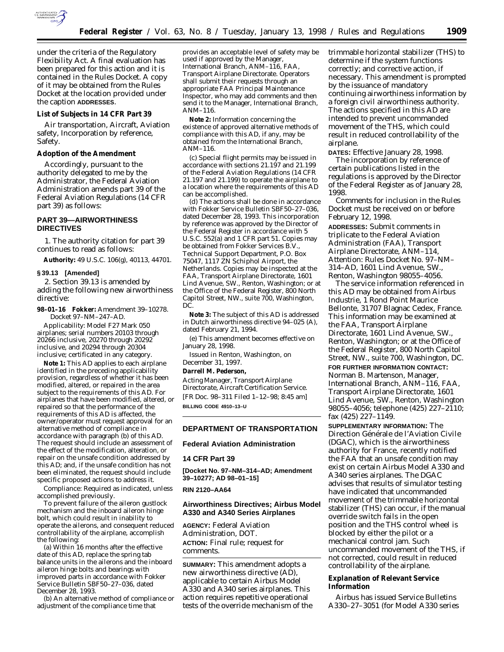

under the criteria of the Regulatory Flexibility Act. A final evaluation has been prepared for this action and it is contained in the Rules Docket. A copy of it may be obtained from the Rules Docket at the location provided under the caption **ADDRESSES**.

#### **List of Subjects in 14 CFR Part 39**

Air transportation, Aircraft, Aviation safety, Incorporation by reference, Safety.

## **Adoption of the Amendment**

Accordingly, pursuant to the authority delegated to me by the Administrator, the Federal Aviation Administration amends part 39 of the Federal Aviation Regulations (14 CFR part 39) as follows:

## **PART 39—AIRWORTHINESS DIRECTIVES**

1. The authority citation for part 39 continues to read as follows:

**Authority:** 49 U.S.C. 106(g), 40113, 44701.

#### **§ 39.13 [Amended]**

2. Section 39.13 is amended by adding the following new airworthiness directive:

**98–01–16 Fokker:** Amendment 39–10278. Docket 97–NM–247–AD.

*Applicability:* Model F27 Mark 050 airplanes; serial numbers 20103 through 20266 inclusive, 20270 through 20292 inclusive, and 20294 through 20304 inclusive; certificated in any category.

**Note 1:** This AD applies to each airplane identified in the preceding applicability provision, regardless of whether it has been modified, altered, or repaired in the area subject to the requirements of this AD. For airplanes that have been modified, altered, or repaired so that the performance of the requirements of this AD is affected, the owner/operator must request approval for an alternative method of compliance in accordance with paragraph (b) of this AD. The request should include an assessment of the effect of the modification, alteration, or repair on the unsafe condition addressed by this AD; and, if the unsafe condition has not been eliminated, the request should include specific proposed actions to address it.

*Compliance:* Required as indicated, unless accomplished previously.

To prevent failure of the aileron gustlock mechanism and the inboard aileron hinge bolt, which could result in inability to operate the ailerons, and consequent reduced controllability of the airplane, accomplish the following:

(a) Within 16 months after the effective date of this AD, replace the spring tab balance units in the ailerons and the inboard aileron hinge bolts and bearings with improved parts in accordance with Fokker Service Bulletin SBF50–27–036, dated December 28, 1993.

(b) An alternative method of compliance or adjustment of the compliance time that

provides an acceptable level of safety may be used if approved by the Manager, International Branch, ANM-116, FAA, Transport Airplane Directorate. Operators shall submit their requests through an appropriate FAA Principal Maintenance Inspector, who may add comments and then send it to the Manager, International Branch, ANM–116.

**Note 2:** Information concerning the existence of approved alternative methods of compliance with this AD, if any, may be obtained from the International Branch, ANM–116.

(c) Special flight permits may be issued in accordance with sections 21.197 and 21.199 of the Federal Aviation Regulations (14 CFR 21.197 and 21.199) to operate the airplane to a location where the requirements of this AD can be accomplished.

(d) The actions shall be done in accordance with Fokker Service Bulletin SBF50–27–036, dated December 28, 1993. This incorporation by reference was approved by the Director of the Federal Register in accordance with 5 U.S.C. 552(a) and 1 CFR part 51. Copies may be obtained from Fokker Services B.V., Technical Support Department, P.O. Box 75047, 1117 ZN Schiphol Airport, the Netherlands. Copies may be inspected at the FAA, Transport Airplane Directorate, 1601 Lind Avenue, SW., Renton, Washington; or at the Office of the Federal Register, 800 North Capitol Street, NW., suite 700, Washington, DC.

**Note 3:** The subject of this AD is addressed in Dutch airworthiness directive 94–025 (A), dated February 21, 1994.

(e) This amendment becomes effective on January 28, 1998.

Issued in Renton, Washington, on December 31, 1997.

#### **Darrell M. Pederson,**

*Acting Manager, Transport Airplane Directorate, Aircraft Certification Service.* [FR Doc. 98–311 Filed 1–12–98; 8:45 am] **BILLING CODE 4910–13–U**

## **DEPARTMENT OF TRANSPORTATION**

### **Federal Aviation Administration**

#### **14 CFR Part 39**

**[Docket No. 97–NM–314–AD; Amendment 39–10277; AD 98–01–15]**

## **RIN 2120–AA64**

## **Airworthiness Directives; Airbus Model A330 and A340 Series Airplanes**

**AGENCY:** Federal Aviation Administration, DOT. **ACTION:** Final rule; request for comments.

**SUMMARY:** This amendment adopts a new airworthiness directive (AD), applicable to certain Airbus Model A330 and A340 series airplanes. This action requires repetitive operational tests of the override mechanism of the trimmable horizontal stabilizer (THS) to determine if the system functions correctly; and corrective action, if necessary. This amendment is prompted by the issuance of mandatory continuing airworthiness information by a foreign civil airworthiness authority. The actions specified in this AD are intended to prevent uncommanded movement of the THS, which could result in reduced controllability of the airplane.

**DATES:** Effective January 28, 1998.

The incorporation by reference of certain publications listed in the regulations is approved by the Director of the Federal Register as of January 28, 1998.

Comments for inclusion in the Rules Docket must be received on or before February 12, 1998.

**ADDRESSES:** Submit comments in triplicate to the Federal Aviation Administration (FAA), Transport Airplane Directorate, ANM–114, Attention: Rules Docket No. 97–NM– 314–AD, 1601 Lind Avenue, SW., Renton, Washington 98055–4056.

The service information referenced in this AD may be obtained from Airbus Industrie, 1 Rond Point Maurice Bellonte, 31707 Blagnac Cedex, France. This information may be examined at the FAA, Transport Airplane Directorate, 1601 Lind Avenue, SW., Renton, Washington; or at the Office of the Federal Register, 800 North Capitol Street, NW., suite 700, Washington, DC. **FOR FURTHER INFORMATION CONTACT:** Norman B. Martenson, Manager, International Branch, ANM–116, FAA, Transport Airplane Directorate, 1601 Lind Avenue, SW., Renton, Washington 98055–4056; telephone (425) 227–2110; fax (425) 227–1149.

**SUPPLEMENTARY INFORMATION:** The Direction Générale de l'Aviation Civile (DGAC), which is the airworthiness authority for France, recently notified the FAA that an unsafe condition may exist on certain Airbus Model A330 and A340 series airplanes. The DGAC advises that results of simulator testing have indicated that uncommanded movement of the trimmable horizontal stabilizer (THS) can occur, if the manual override switch fails in the open position and the THS control wheel is blocked by either the pilot or a mechanical control jam. Such uncommanded movement of the THS, if not corrected, could result in reduced controllability of the airplane.

# **Explanation of Relevant Service Information**

Airbus has issued Service Bulletins A330–27–3051 (for Model A330 series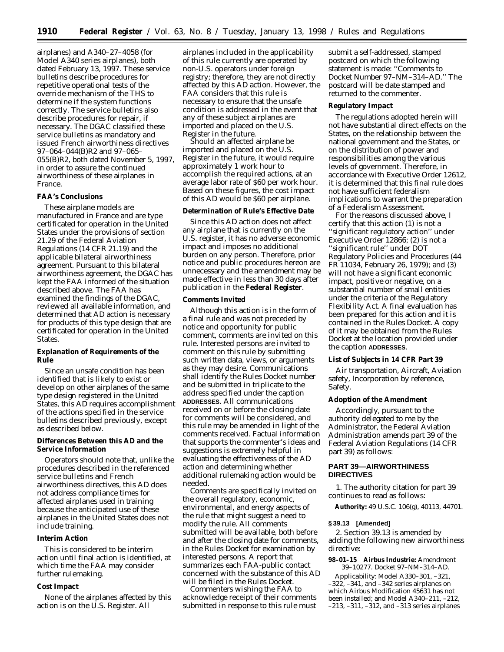airplanes) and A340–27–4058 (for Model A340 series airplanes), both dated February 13, 1997. These service bulletins describe procedures for repetitive operational tests of the override mechanism of the THS to determine if the system functions correctly. The service bulletins also describe procedures for repair, if necessary. The DGAC classified these service bulletins as mandatory and issued French airworthiness directives 97–064–044(B)R2 and 97–065– 055(B)R2, both dated November 5, 1997, in order to assure the continued airworthiness of these airplanes in France.

### **FAA's Conclusions**

These airplane models are manufactured in France and are type certificated for operation in the United States under the provisions of section 21.29 of the Federal Aviation Regulations (14 CFR 21.19) and the applicable bilateral airworthiness agreement. Pursuant to this bilateral airworthiness agreement, the DGAC has kept the FAA informed of the situation described above. The FAA has examined the findings of the DGAC, reviewed all available information, and determined that AD action is necessary for products of this type design that are certificated for operation in the United States.

## **Explanation of Requirements of the Rule**

Since an unsafe condition has been identified that is likely to exist or develop on other airplanes of the same type design registered in the United States, this AD requires accomplishment of the actions specified in the service bulletins described previously, except as described below.

# **Differences Between this AD and the Service Information**

Operators should note that, unlike the procedures described in the referenced service bulletins and French airworthiness directives, this AD does not address compliance times for affected airplanes used in training because the anticipated use of these airplanes in the United States does not include training.

## **Interim Action**

This is considered to be interim action until final action is identified, at which time the FAA may consider further rulemaking.

## **Cost Impact**

None of the airplanes affected by this action is on the U.S. Register. All

airplanes included in the applicability of this rule currently are operated by non-U.S. operators under foreign registry; therefore, they are not directly affected by this AD action. However, the FAA considers that this rule is necessary to ensure that the unsafe condition is addressed in the event that any of these subject airplanes are imported and placed on the U.S. Register in the future.

Should an affected airplane be imported and placed on the U.S. Register in the future, it would require approximately 1 work hour to accomplish the required actions, at an average labor rate of \$60 per work hour. Based on these figures, the cost impact of this AD would be \$60 per airplane.

# **Determination of Rule's Effective Date**

Since this AD action does not affect any airplane that is currently on the U.S. register, it has no adverse economic impact and imposes no additional burden on any person. Therefore, prior notice and public procedures hereon are unnecessary and the amendment may be made effective in less than 30 days after publication in the **Federal Register**.

## **Comments Invited**

Although this action is in the form of a final rule and was not preceded by notice and opportunity for public comment, comments are invited on this rule. Interested persons are invited to comment on this rule by submitting such written data, views, or arguments as they may desire. Communications shall identify the Rules Docket number and be submitted in triplicate to the address specified under the caption **ADDRESSES**. All communications received on or before the closing date for comments will be considered, and this rule may be amended in light of the comments received. Factual information that supports the commenter's ideas and suggestions is extremely helpful in evaluating the effectiveness of the AD action and determining whether additional rulemaking action would be needed.

Comments are specifically invited on the overall regulatory, economic, environmental, and energy aspects of the rule that might suggest a need to modify the rule. All comments submitted will be available, both before and after the closing date for comments, in the Rules Docket for examination by interested persons. A report that summarizes each FAA-public contact concerned with the substance of this AD will be filed in the Rules Docket.

Commenters wishing the FAA to acknowledge receipt of their comments submitted in response to this rule must

submit a self-addressed, stamped postcard on which the following statement is made: ''Comments to Docket Number 97–NM–314–AD.'' The postcard will be date stamped and returned to the commenter.

### **Regulatory Impact**

The regulations adopted herein will not have substantial direct effects on the States, on the relationship between the national government and the States, or on the distribution of power and responsibilities among the various levels of government. Therefore, in accordance with Executive Order 12612, it is determined that this final rule does not have sufficient federalism implications to warrant the preparation of a Federalism Assessment.

For the reasons discussed above, I certify that this action (1) is not a ''significant regulatory action'' under Executive Order 12866; (2) is not a ''significant rule'' under DOT Regulatory Policies and Procedures (44 FR 11034, February 26, 1979); and (3) will not have a significant economic impact, positive or negative, on a substantial number of small entities under the criteria of the Regulatory Flexibility Act. A final evaluation has been prepared for this action and it is contained in the Rules Docket. A copy of it may be obtained from the Rules Docket at the location provided under the caption **ADDRESSES**.

#### **List of Subjects in 14 CFR Part 39**

Air transportation, Aircraft, Aviation safety, Incorporation by reference, Safety.

### **Adoption of the Amendment**

Accordingly, pursuant to the authority delegated to me by the Administrator, the Federal Aviation Administration amends part 39 of the Federal Aviation Regulations (14 CFR part 39) as follows:

# **PART 39—AIRWORTHINESS DIRECTIVES**

1. The authority citation for part 39 continues to read as follows:

**Authority:** 49 U.S.C. 106(g), 40113, 44701.

#### **§ 39.13 [Amended]**

2. Section 39.13 is amended by adding the following new airworthiness directive:

### **98–01–15 Airbus Industrie:** Amendment 39–10277. Docket 97–NM–314–AD.

*Applicability:* Model A330–301, –321, –322, –341, and –342 series airplanes on which Airbus Modification 45631 has not been installed; and Model A340–211, –212, –213, –311, –312, and –313 series airplanes